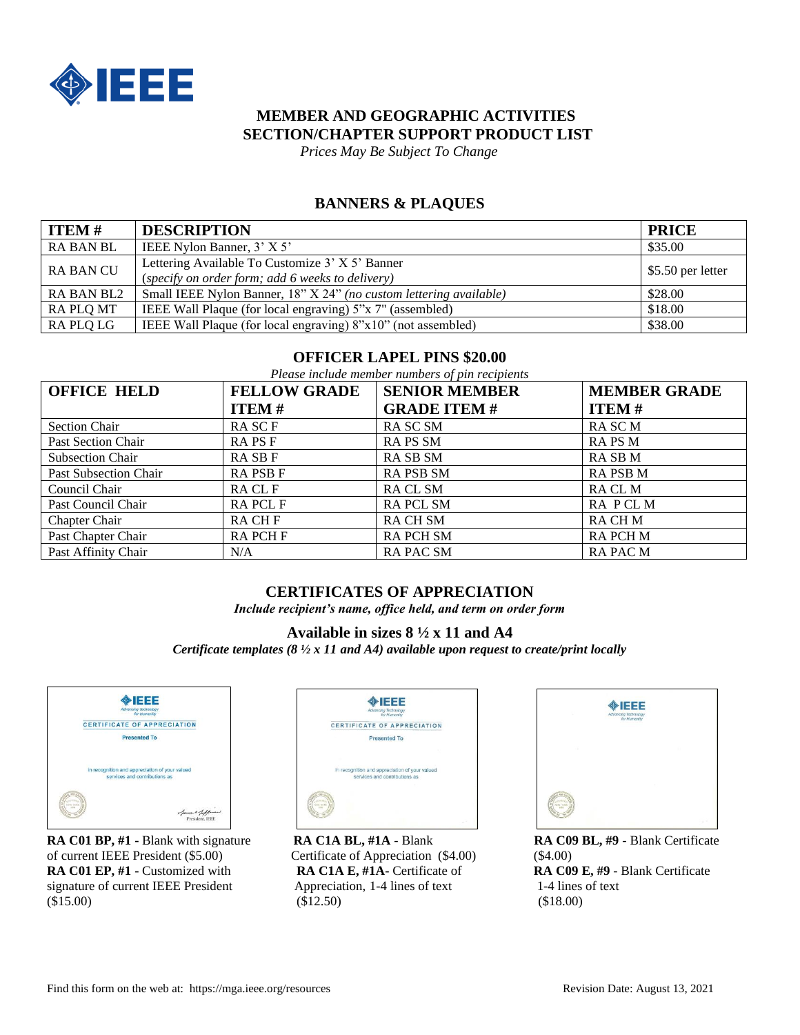

# **MEMBER AND GEOGRAPHIC ACTIVITIES SECTION/CHAPTER SUPPORT PRODUCT LIST**

 *Prices May Be Subject To Change*

### **BANNERS & PLAQUES**

| $\vert$ ITEM #   | <b>DESCRIPTION</b>                                                                                  | <b>PRICE</b>      |
|------------------|-----------------------------------------------------------------------------------------------------|-------------------|
| <b>RA BAN BL</b> | IEEE Nylon Banner, 3' X 5'                                                                          | \$35.00           |
| <b>RA BAN CU</b> | Lettering Available To Customize 3' X 5' Banner<br>(specify on order form; add 6 weeks to delivery) | \$5.50 per letter |
| RA BAN BL2       | Small IEEE Nylon Banner, 18" X 24" (no custom lettering available)                                  | \$28.00           |
| RA PLO MT        | IEEE Wall Plaque (for local engraving) 5"x 7" (assembled)                                           | \$18.00           |
| RA PLQ LG        | IEEE Wall Plaque (for local engraving) 8"x10" (not assembled)                                       | \$38.00           |

#### **OFFICER LAPEL PINS \$20.00**

*Please include member numbers of pin recipients*

| <b>OFFICE HELD</b>      | <b>FELLOW GRADE</b> | <b>SENIOR MEMBER</b> | <b>MEMBER GRADE</b> |
|-------------------------|---------------------|----------------------|---------------------|
|                         | <b>ITEM#</b>        | <b>GRADE ITEM#</b>   | <b>ITEM#</b>        |
| <b>Section Chair</b>    | RA SC F             | RA SC SM             | RA SC M             |
| Past Section Chair      | <b>RAPSF</b>        | <b>RAPS SM</b>       | <b>RAPSM</b>        |
| <b>Subsection Chair</b> | <b>RASBF</b>        | <b>RASB SM</b>       | RA SB M             |
| Past Subsection Chair   | <b>RAPSBF</b>       | <b>RAPSB SM</b>      | <b>RAPSBM</b>       |
| Council Chair           | RA CL F             | RA CL SM             | RA CL M             |
| Past Council Chair      | <b>RAPCLF</b>       | <b>RAPCL SM</b>      | RA PCLM             |
| <b>Chapter Chair</b>    | RA CH F             | <b>RACH SM</b>       | RA CH M             |
| Past Chapter Chair      | <b>RAPCHF</b>       | <b>RAPCH SM</b>      | <b>RAPCHM</b>       |
| Past Affinity Chair     | N/A                 | <b>RAPACSM</b>       | <b>RAPACM</b>       |

## **CERTIFICATES OF APPRECIATION**

*Include recipient's name, office held, and term on order form*

#### **Available in sizes 8 ½ x 11 and A4**

*Certificate templates (8 ½ x 11 and A4) available upon request to create/print locally*



**RA C01 BP, #1 -** Blank with signature **RA C1A BL, #1A** - Blank **RA C09 BL, #9** - Blank Certificate of current IEEE President (\$5.00) Certificate of Appreciation (\$4.00) (\$4.00) **RA C01 EP, #1 -** Customized with **RA C1A E, #1A-** Certificate of **RA C09 E, #9** - Blank Certificate signature of current IEEE President Appreciation, 1-4 lines of text 1-4 lines of text  $($15.00)$  (\$15.00) (\$18.00)



| ×<br>×<br>152             |   |  |
|---------------------------|---|--|
|                           | w |  |
| <b>SONNER</b><br>ABM VOIN |   |  |